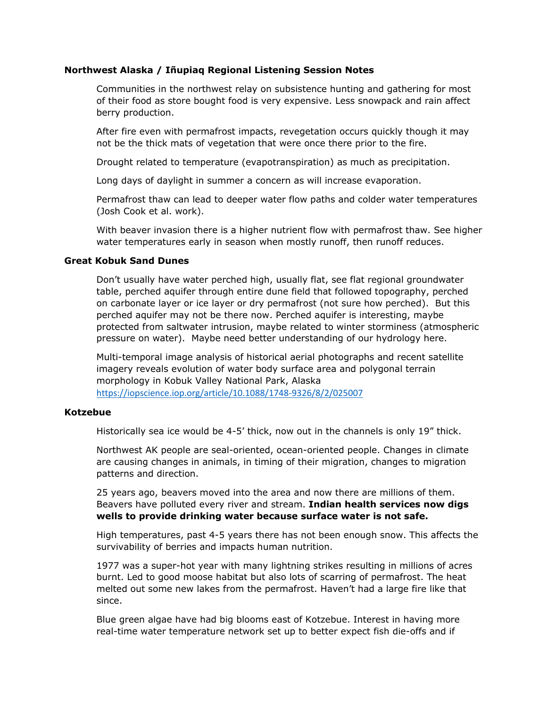## **Northwest Alaska / Iñupiaq Regional Listening Session Notes**

Communities in the northwest relay on subsistence hunting and gathering for most of their food as store bought food is very expensive. Less snowpack and rain affect berry production.

After fire even with permafrost impacts, revegetation occurs quickly though it may not be the thick mats of vegetation that were once there prior to the fire.

Drought related to temperature (evapotranspiration) as much as precipitation.

Long days of daylight in summer a concern as will increase evaporation.

Permafrost thaw can lead to deeper water flow paths and colder water temperatures (Josh Cook et al. work).

With beaver invasion there is a higher nutrient flow with permafrost thaw. See higher water temperatures early in season when mostly runoff, then runoff reduces.

## **Great Kobuk Sand Dunes**

Don't usually have water perched high, usually flat, see flat regional groundwater table, perched aquifer through entire dune field that followed topography, perched on carbonate layer or ice layer or dry permafrost (not sure how perched). But this perched aquifer may not be there now. Perched aquifer is interesting, maybe protected from saltwater intrusion, maybe related to winter storminess (atmospheric pressure on water). Maybe need better understanding of our hydrology here.

Multi-temporal image analysis of historical aerial photographs and recent satellite imagery reveals evolution of water body surface area and polygonal terrain morphology in Kobuk Valley National Park, Alaska <https://iopscience.iop.org/article/10.1088/1748-9326/8/2/025007>

## **Kotzebue**

Historically sea ice would be 4-5' thick, now out in the channels is only 19" thick.

Northwest AK people are seal-oriented, ocean-oriented people. Changes in climate are causing changes in animals, in timing of their migration, changes to migration patterns and direction.

25 years ago, beavers moved into the area and now there are millions of them. Beavers have polluted every river and stream. **Indian health services now digs wells to provide drinking water because surface water is not safe.**

High temperatures, past 4-5 years there has not been enough snow. This affects the survivability of berries and impacts human nutrition.

1977 was a super-hot year with many lightning strikes resulting in millions of acres burnt. Led to good moose habitat but also lots of scarring of permafrost. The heat melted out some new lakes from the permafrost. Haven't had a large fire like that since.

Blue green algae have had big blooms east of Kotzebue. Interest in having more real-time water temperature network set up to better expect fish die-offs and if